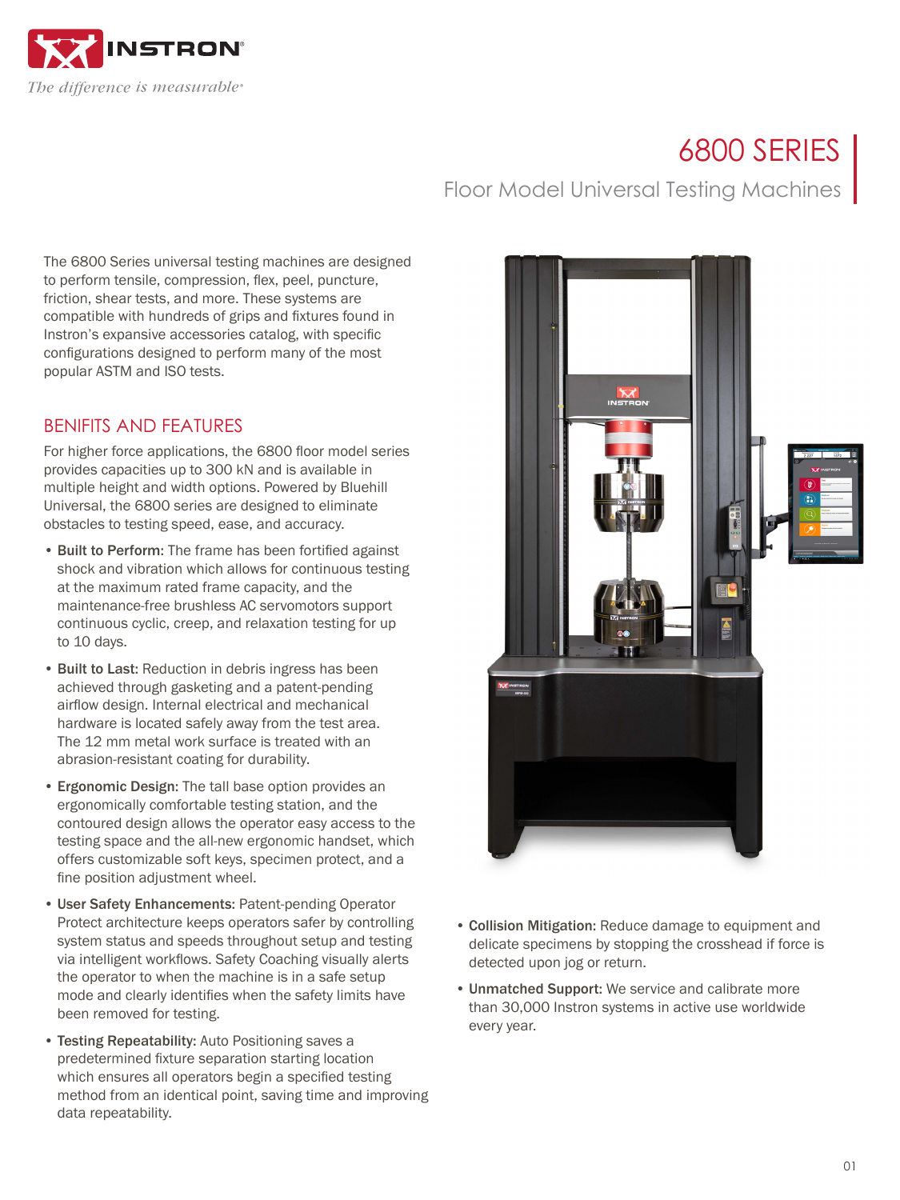

# 6800 SERIES

The 6800 Series universal testing machines are designed to perform tensile, compression, flex, peel, puncture, friction, shear tests, and more. These systems are compatible with hundreds of grips and fixtures found in Instron's expansive accessories catalog, with specific configurations designed to perform many of the most popular ASTM and ISO tests.

## BENIFITS AND FEATURES

For higher force applications, the 6800 floor model series provides capacities up to 300 kN and is available in multiple height and width options. Powered by Bluehill Universal, the 6800 series are designed to eliminate obstacles to testing speed, ease, and accuracy.

- Built to Perform: The frame has been fortified against shock and vibration which allows for continuous testing at the maximum rated frame capacity, and the maintenance-free brushless AC servomotors support continuous cyclic, creep, and relaxation testing for up to 10 days.
- Built to Last: Reduction in debris ingress has been achieved through gasketing and a patent-pending airflow design. Internal electrical and mechanical hardware is located safely away from the test area. The 12 mm metal work surface is treated with an abrasion-resistant coating for durability.
- Ergonomic Design: The tall base option provides an ergonomically comfortable testing station, and the contoured design allows the operator easy access to the testing space and the all-new ergonomic handset, which offers customizable soft keys, specimen protect, and a fine position adjustment wheel.
- User Safety Enhancements: Patent-pending Operator Protect architecture keeps operators safer by controlling system status and speeds throughout setup and testing via intelligent workflows. Safety Coaching visually alerts the operator to when the machine is in a safe setup mode and clearly identifies when the safety limits have been removed for testing.
- Testing Repeatability: Auto Positioning saves a predetermined fixture separation starting location which ensures all operators begin a specified testing method from an identical point, saving time and improving data repeatability.



Floor Model Universal Testing Machines

- Collision Mitigation: Reduce damage to equipment and delicate specimens by stopping the crosshead if force is detected upon jog or return.
- Unmatched Support: We service and calibrate more than 30,000 Instron systems in active use worldwide every year.